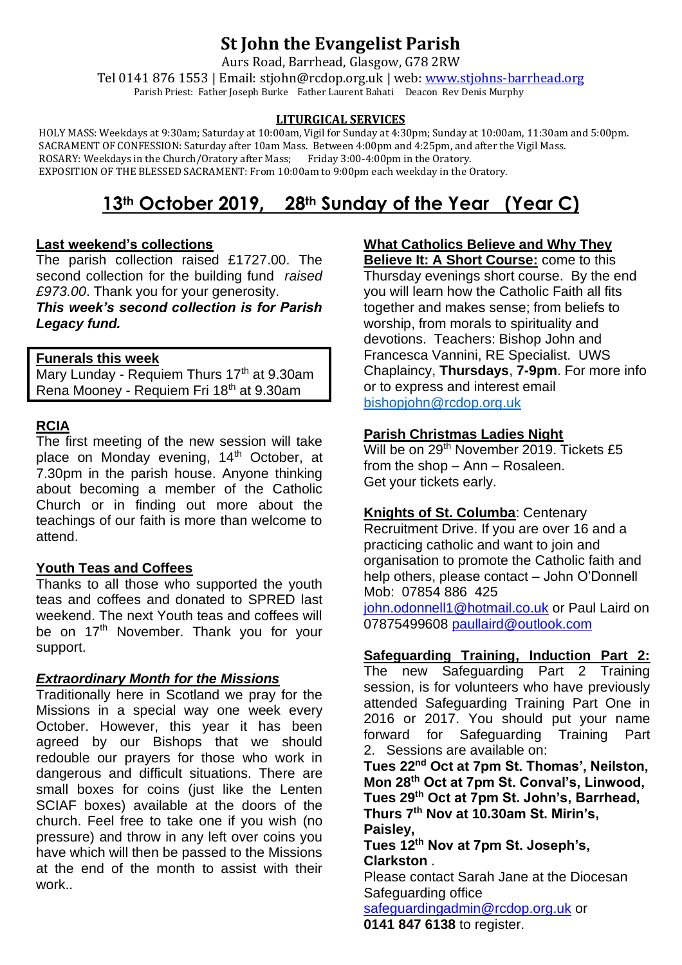# **St John the Evangelist Parish**

Aurs Road, Barrhead, Glasgow, G78 2RW

Tel 0141 876 1553 | Email: stjohn@rcdop.org.uk | web: [www.stjohns-barrhead.org](http://www.stjohns-barrhead.org/) Parish Priest: Father Joseph Burke Father Laurent Bahati Deacon Rev Denis Murphy

#### **LITURGICAL SERVICES**

 HOLY MASS: Weekdays at 9:30am; Saturday at 10:00am, Vigil for Sunday at 4:30pm; Sunday at 10:00am, 11:30am and 5:00pm. SACRAMENT OF CONFESSION: Saturday after 10am Mass. Between 4:00pm and 4:25pm, and after the Vigil Mass. ROSARY: Weekdays in the Church/Oratory after Mass; Friday 3:00-4:00pm in the Oratory. EXPOSITION OF THE BLESSED SACRAMENT: From 10:00am to 9:00pm each weekday in the Oratory.

# **13th October 2019, 28th Sunday of the Year (Year C)**

## **Last weekend's collections**

The parish collection raised £1727.00. The second collection for the building fund *raised £973.00*. Thank you for your generosity.

*This week's second collection is for Parish Legacy fund.*

## **Funerals this week**

Mary Lunday - Requiem Thurs 17<sup>th</sup> at 9.30am Rena Mooney - Requiem Fri 18th at 9.30am

# **RCIA**

The first meeting of the new session will take place on Monday evening, 14<sup>th</sup> October, at 7.30pm in the parish house. Anyone thinking about becoming a member of the Catholic Church or in finding out more about the teachings of our faith is more than welcome to attend.

# **Youth Teas and Coffees**

Thanks to all those who supported the youth teas and coffees and donated to SPRED last weekend. The next Youth teas and coffees will be on 17<sup>th</sup> November. Thank you for your support.

## *Extraordinary Month for the Missions*

Traditionally here in Scotland we pray for the Missions in a special way one week every October. However, this year it has been agreed by our Bishops that we should redouble our prayers for those who work in dangerous and difficult situations. There are small boxes for coins (just like the Lenten SCIAF boxes) available at the doors of the church. Feel free to take one if you wish (no pressure) and throw in any left over coins you have which will then be passed to the Missions at the end of the month to assist with their work..

#### **What Catholics Believe and Why They Believe It: A Short Course:** come to this

Thursday evenings short course. By the end you will learn how the Catholic Faith all fits together and makes sense; from beliefs to worship, from morals to spirituality and devotions. Teachers: Bishop John and Francesca Vannini, RE Specialist. UWS Chaplaincy, **Thursdays**, **7-9pm**. For more info or to express and interest email [bishopjohn@rcdop.org.uk](mailto:bishopjohn@rcdop.org.uk)

## **Parish Christmas Ladies Night**

Will be on 29<sup>th</sup> November 2019. Tickets £5 from the shop – Ann – Rosaleen. Get your tickets early.

## **Knights of St. Columba**: Centenary

Recruitment Drive. If you are over 16 and a practicing catholic and want to join and organisation to promote the Catholic faith and help others, please contact – John O'Donnell Mob: 07854 886 425 [john.odonnell1@hotmail.co.uk](mailto:john.odonnell1@hotmail.co.uk) or Paul Laird on 07875499608 [paullaird@outlook.com](mailto:paullaird@outlook.com)

## **Safeguarding Training, Induction Part 2:**

The new Safeguarding Part 2 Training session, is for volunteers who have previously attended Safeguarding Training Part One in 2016 or 2017. You should put your name forward for Safeguarding Training Part 2. Sessions are available on:

**Tues 22nd Oct at 7pm St. Thomas', Neilston, Mon 28th Oct at 7pm St. Conval's, Linwood, Tues 29th Oct at 7pm St. John's, Barrhead, Thurs 7th Nov at 10.30am St. Mirin's, Paisley,**

**Tues 12th Nov at 7pm St. Joseph's, Clarkston** .

Please contact Sarah Jane at the Diocesan Safeguarding office

[safeguardingadmin@rcdop.org.uk](mailto:safeguardingadmin@rcdop.org.uk) or **0141 847 6138** to register.